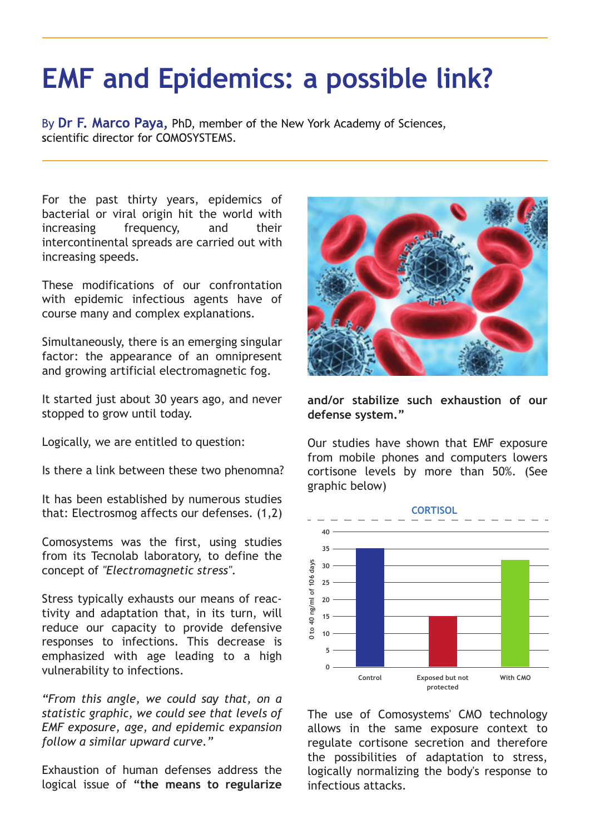## **EMF and Epidemics: a possible link?**

By Dr F. Marco Paya, PhD, member of the New York Academy of Sciences, scientific director for COMOSYSTEMS

For the past thirty years, epidemics of For the past thirty years, epidemics of bacterial or viral origin hit the world with bacterial or viral origin hit the world with increasing frequency, and their increasing frequency, and their intercontinental spreads are carried out with increasing speeds. increasing speeds.

These modifications of our confrontation These modifications of our confrontation with epidemic infectious agents have of with epidemic infectious agents have of course many and complex explanations. course many and complex explanations.

Simultaneously, there is an emerging singular Simultaneously, there is an emerging singular factor: the appearance of an omnipresent factor: the appearance of an omnipresent and growing artificial electromagnetic fog. and growing artificial electromagnetic fog.

It started just about 30 years ago, and never It started just about 30 years ago, and never stopped to grow until today. stopped to grow until today.

Logically, we are entitled to question: Logically, we are entitled to question:

Is there a link between these two phenomna? Is there a link between these two phenomna?

It has been established by numerous studies It has been established by numerous studies that: Electrosmog affects our defenses. (1,2) that: Electrosmog affects our defenses. (1,2)

Comosystems was the first, using studies Comosystems was the first, using studies from its Tecnolab laboratory, to define the from its Tecnolab laboratory, to define the concept of *"Electromagnetic stress".* concept of *"Electromagnetic stress".*

Stress typically exhausts our means of reac-Stress typically exhausts our means of reactivity and adaptation that, in its turn, will tivity and adaptation that, in its turn, will reduce our capacity to provide defensive reduce our capacity to provide defensive responses to infections. This decrease is responses to infections. This decrease is emphasized with age leading to a high emphasized with age leading to a high vulnerability to infections. vulnerability to infections.

*"From this angle, we could say that, on a "From this angle, we could say that, on a statistic graphic, we could see that levels of statistic graphic, we could see that levels of EMF exposure, age, and epidemic expansion EMF exposure, age, and epidemic expansion follow a similar upward curve." follow a similar upward curve."*

Exhaustion of human defenses address the Exhaustion of human defenses address the logical issue of **"the means to regularize**  logical issue of **"the means to regularize** 



**and/or stabilize such exhaustion of our and/or stabilize such exhaustion of our defense system." defense system."**

Our studies have shown that EMF exposure Our studies have shown that EMF exposure from mobile phones and computers lowers from mobile phones and computers lowers cortisone levels by more than 50%. (See cortisone levels by more than 50%. (See graphic below) graphic below)



The use of Comosystems' CMO technology The use of Comosystems' CMO technology allows in the same exposure context to allows in the same exposure context to regulate cortisone secretion and therefore regulate cortisone secretion and therefore the possibilities of adaptation to stress, the possibilities of adaptation to stress, logically normalizing the body's response to logically normalizing the body's response to infectious attacks. infectious attacks.